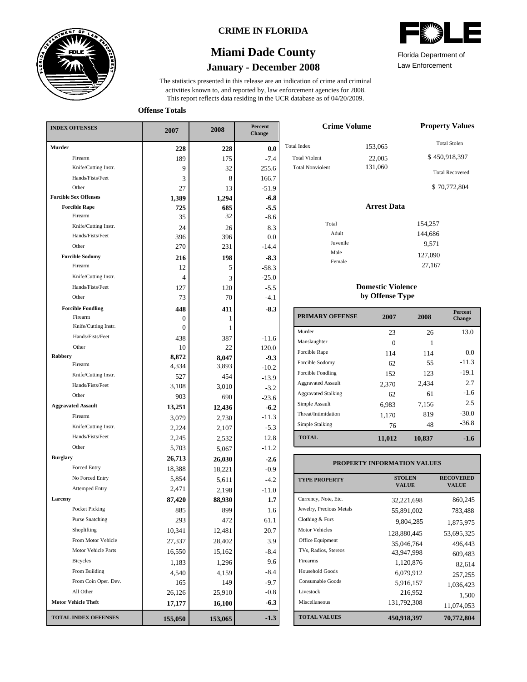

### **CRIME IN FLORIDA**

# **January - December 2008 Miami Dade County**

This report reflects data residing in the UCR database as of 04/20/2009. activities known to, and reported by, law enforcement agencies for 2008. The statistics presented in this release are an indication of crime and criminal

Law Enforcement Florida Department of

**Offense Totals**

| <b>INDEX OFFENSES</b>        | 2007    | 2008    | Percent<br>Change |  |
|------------------------------|---------|---------|-------------------|--|
| <b>Murder</b>                | 228     | 228     | 0.0               |  |
| Firearm                      | 189     | 175     | $-7.4$            |  |
| Knife/Cutting Instr.         | 9       | 32      | 255.6             |  |
| Hands/Fists/Feet             | 3       | 8       | 166.7             |  |
| Other                        | 27      | 13      | $-51.9$           |  |
| <b>Forcible Sex Offenses</b> | 1,389   | 1,294   | $-6.8$            |  |
| <b>Forcible Rape</b>         | 725     | 685     | $-5.5$            |  |
| Firearm                      | 35      | 32      | $-8.6$            |  |
| Knife/Cutting Instr.         | 24      | 26      | 8.3               |  |
| Hands/Fists/Feet             | 396     | 396     | 0.0               |  |
| Other                        | 270     | 231     | $-14.4$           |  |
| <b>Forcible Sodomy</b>       | 216     | 198     | $-8.3$            |  |
| Firearm                      | 12      | 5       | $-58.3$           |  |
| Knife/Cutting Instr.         | 4       | 3       | $-25.0$           |  |
| Hands/Fists/Feet             | 127     | 120     | $-5.5$            |  |
| Other                        | 73      | 70      | $-4.1$            |  |
| <b>Forcible Fondling</b>     | 448     | 411     | $-8.3$            |  |
| Firearm                      | 0       | 1       |                   |  |
| Knife/Cutting Instr.         | 0       | 1       |                   |  |
| Hands/Fists/Feet             | 438     | 387     | $-11.6$           |  |
| Other                        | 10      | 22      | 120.0             |  |
| Robbery<br>Firearm           | 8,872   | 8,047   | $-9.3$            |  |
| Knife/Cutting Instr.         | 4,334   | 3,893   | $-10.2$           |  |
| Hands/Fists/Feet             | 527     | 454     | $-13.9$           |  |
|                              | 3,108   | 3,010   | $-3.2$            |  |
| Other                        | 903     | 690     | $-23.6$           |  |
| <b>Aggravated Assault</b>    | 13,251  | 12,436  | $-6.2$            |  |
| Firearm                      | 3,079   | 2,730   | $-11.3$           |  |
| Knife/Cutting Instr.         | 2,224   | 2,107   | $-5.3$            |  |
| Hands/Fists/Feet             | 2,245   | 2,532   | 12.8              |  |
| Other                        | 5,703   | 5,067   | $-11.2$           |  |
| <b>Burglary</b>              | 26,713  | 26,030  | $-2.6$            |  |
| <b>Forced Entry</b>          | 18,388  | 18,221  | $-0.9$            |  |
| No Forced Entry              | 5,854   | 5,611   | $-4.2$            |  |
| <b>Attemped Entry</b>        | 2,471   | 2,198   | $-11.0$           |  |
| Larceny                      | 87,420  | 88,930  | 1.7               |  |
| Pocket Picking               | 885     | 899     | 1.6               |  |
| <b>Purse Snatching</b>       | 293     | 472     | 61.1              |  |
| Shoplifting                  | 10,341  | 12,481  | 20.7              |  |
| From Motor Vehicle           | 27,337  | 28,402  | 3.9               |  |
| Motor Vehicle Parts          | 16,550  | 15,162  | $-8.4$            |  |
| Bicycles                     | 1,183   | 1,296   | 9.6               |  |
| From Building                | 4,540   | 4,159   | $-8.4$            |  |
| From Coin Oper. Dev.         | 165     | 149     | $-9.7$            |  |
| All Other                    | 26,126  | 25,910  | $-0.8$            |  |
| <b>Motor Vehicle Theft</b>   | 17,177  | 16,100  | $-6.3$            |  |
| <b>TOTAL INDEX OFFENSES</b>  | 155,050 | 153,065 | $-1.3$            |  |

| <b>Crime Volume</b>     | <b>Property Values</b> |                        |  |  |
|-------------------------|------------------------|------------------------|--|--|
| <b>Total Index</b>      | 153,065                | <b>Total Stolen</b>    |  |  |
| <b>Total Violent</b>    | 22,005                 | \$450,918,397          |  |  |
| <b>Total Nonviolent</b> | 131,060                | <b>Total Recovered</b> |  |  |
|                         |                        | \$70,772,804           |  |  |
|                         | <b>Arrest Data</b>     |                        |  |  |
| Total                   |                        | 154,257                |  |  |
| Adult                   |                        | 144,686                |  |  |
| Juvenile                |                        | 9,571                  |  |  |
| Male                    |                        | 127,090                |  |  |
| Female                  |                        | 27,167                 |  |  |

#### **Domestic Violence by Offense Type**

| <b>PRIMARY OFFENSE</b>     | 2007   | 2008   | <b>Percent</b><br><b>Change</b> |
|----------------------------|--------|--------|---------------------------------|
| Murder                     | 23     | 26     | 13.0                            |
| Manslaughter               | 0      |        |                                 |
| Forcible Rape              | 114    | 114    | 0.0                             |
| Forcible Sodomy            | 62     | 55     | $-11.3$                         |
| Forcible Fondling          | 152    | 123    | $-19.1$                         |
| <b>Aggravated Assault</b>  | 2,370  | 2,434  | 2.7                             |
| <b>Aggravated Stalking</b> | 62     | 61     | $-1.6$                          |
| Simple Assault             | 6,983  | 7,156  | 2.5                             |
| Threat/Intimidation        | 1,170  | 819    | $-30.0$                         |
| Simple Stalking            | 76     | 48     | $-36.8$                         |
| <b>TOTAL</b>               | 11,012 | 10,837 | $-1.6$                          |

### **PROPERTY INFORMATION VALUES**

| <b>TYPE PROPERTY</b>     | <b>STOLEN</b><br><b>VALUE</b> | <b>RECOVERED</b><br><b>VALUE</b> |
|--------------------------|-------------------------------|----------------------------------|
| Currency, Note, Etc.     | 32,221,698                    | 860,245                          |
| Jewelry, Precious Metals | 55,891,002                    | 783,488                          |
| Clothing & Furs          | 9,804,285                     | 1,875,975                        |
| <b>Motor Vehicles</b>    | 128,880,445                   | 53,695,325                       |
| Office Equipment         | 35,046,764                    | 496,443                          |
| TVs, Radios, Stereos     | 43,947,998                    | 609,483                          |
| Firearms                 | 1,120,876                     | 82.614                           |
| Household Goods          | 6,079,912                     | 257,255                          |
| Consumable Goods         | 5,916,157                     | 1,036,423                        |
| Livestock                | 216,952                       | 1,500                            |
| Miscellaneous            | 131,792,308                   | 11,074,053                       |
| <b>TOTAL VALUES</b>      | 450,918,397                   | 70,772,804                       |